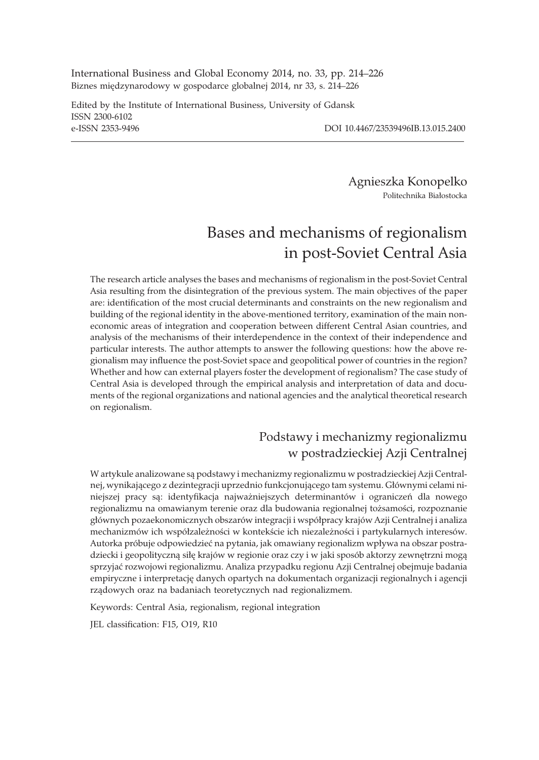International Business and Global Economy 2014, no. 33, pp. 214–226 Biznes międzynarodowy w gospodarce globalnej 2014, nr 33, s. 214–226

Edited by the Institute of International Business, University of Gdansk ISSN 2300-6102 e-ISSN 2353-9496 DOI 10.4467/23539496IB.13.015.2400

Agnieszka Konopelko Politechnika Białostocka

# Bases and mechanisms of regionalism in post-Soviet Central Asia

The research article analyses the bases and mechanisms of regionalism in the post-Soviet Central Asia resulting from the disintegration of the previous system. The main objectives of the paper are: identification of the most crucial determinants and constraints on the new regionalism and building of the regional identity in the above-mentioned territory, examination of the main noneconomic areas of integration and cooperation between different Central Asian countries, and analysis of the mechanisms of their interdependence in the context of their independence and particular interests. The author attempts to answer the following questions: how the above regionalism may influence the post-Soviet space and geopolitical power of countries in the region? Whether and how can external players foster the development of regionalism? The case study of Central Asia is developed through the empirical analysis and interpretation of data and documents of the regional organizations and national agencies and the analytical theoretical research on regionalism.

## Podstawy i mechanizmy regionalizmu w postradzieckiej Azji Centralnej

W artykule analizowane są podstawy i mechanizmy regionalizmu w postradzieckiej Azji Centralnej, wynikającego z dezintegracji uprzednio funkcjonującego tam systemu. Głównymi celami niniejszej pracy są: identyfikacja najważniejszych determinantów i ograniczeń dla nowego regionalizmu na omawianym terenie oraz dla budowania regionalnej tożsamości, rozpoznanie głównych pozaekonomicznych obszarów integracji i współpracy krajów Azji Centralnej i analiza mechanizmów ich współzależności w kontekście ich niezależności i partykularnych interesów. Autorka próbuje odpowiedzieć na pytania, jak omawiany regionalizm wpływa na obszar postradziecki i geopolityczną siłę krajów w regionie oraz czy i w jaki sposób aktorzy zewnętrzni mogą sprzyjaæ rozwojowi regionalizmu. Analiza przypadku regionu Azji Centralnej obejmuje badania empiryczne i interpretacjê danych opartych na dokumentach organizacji regionalnych i agencji rządowych oraz na badaniach teoretycznych nad regionalizmem.

Keywords: Central Asia, regionalism, regional integration

JEL classification: F15, O19, R10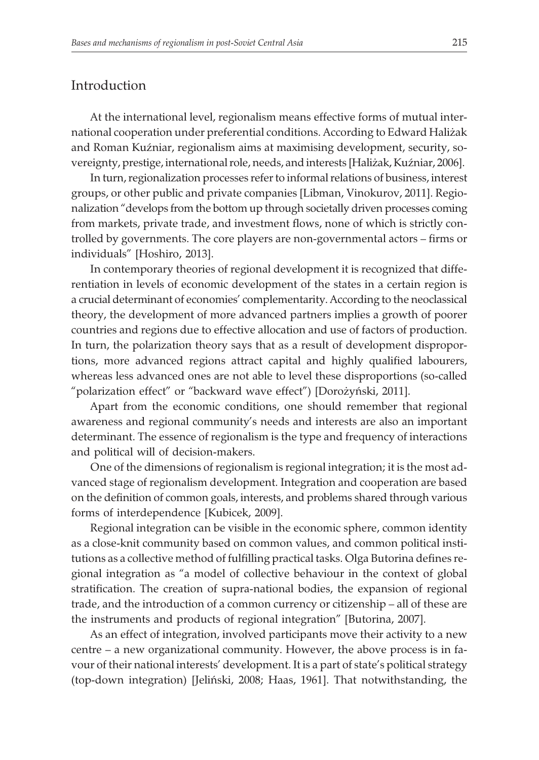### Introduction

At the international level, regionalism means effective forms of mutual international cooperation under preferential conditions. According to Edward Hali¿ak and Roman Kuźniar, regionalism aims at maximising development, security, sovereignty, prestige, international role, needs, and interests [Haliżak, Kuźniar, 2006].

In turn, regionalization processes refer to informal relations of business, interest groups, or other public and private companies [Libman, Vinokurov, 2011]. Regionalization "develops from the bottom up through societally driven processes coming from markets, private trade, and investment flows, none of which is strictly controlled by governments. The core players are non-governmental actors – firms or individuals" [Hoshiro, 2013].

In contemporary theories of regional development it is recognized that differentiation in levels of economic development of the states in a certain region is a crucial determinant of economies' complementarity. According to the neoclassical theory, the development of more advanced partners implies a growth of poorer countries and regions due to effective allocation and use of factors of production. In turn, the polarization theory says that as a result of development disproportions, more advanced regions attract capital and highly qualified labourers, whereas less advanced ones are not able to level these disproportions (so-called "polarization effect" or "backward wave effect") [Dorożyński, 2011].

Apart from the economic conditions, one should remember that regional awareness and regional community's needs and interests are also an important determinant. The essence of regionalism is the type and frequency of interactions and political will of decision-makers.

One of the dimensions of regionalism is regional integration; it is the most advanced stage of regionalism development. Integration and cooperation are based on the definition of common goals, interests, and problems shared through various forms of interdependence [Kubicek, 2009].

Regional integration can be visible in the economic sphere, common identity as a close-knit community based on common values, and common political institutions as a collective method of fulfilling practical tasks. Olga Butorina defines regional integration as "a model of collective behaviour in the context of global stratification. The creation of supra-national bodies, the expansion of regional trade, and the introduction of a common currency or citizenship – all of these are the instruments and products of regional integration" [Butorina, 2007].

As an effect of integration, involved participants move their activity to a new centre – a new organizational community. However, the above process is in favour of their national interests' development. It is a part of state's political strategy (top-down integration) [Jeliñski, 2008; Haas, 1961]. That notwithstanding, the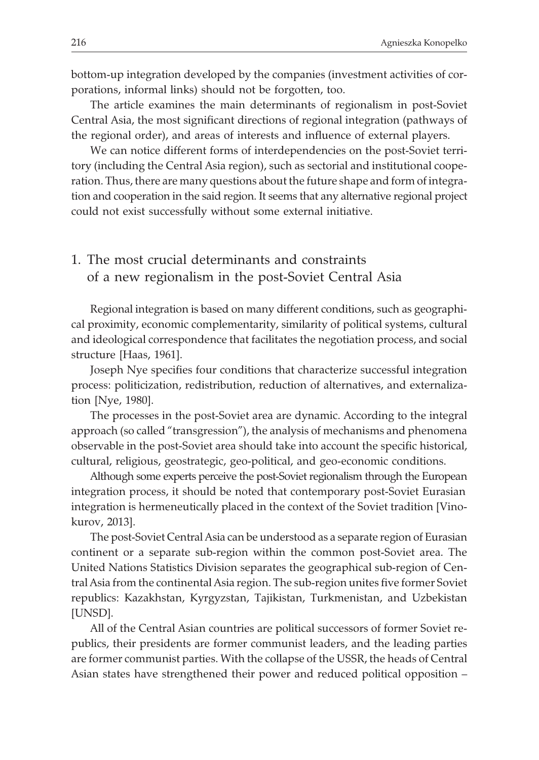bottom-up integration developed by the companies (investment activities of corporations, informal links) should not be forgotten, too.

The article examines the main determinants of regionalism in post-Soviet Central Asia, the most significant directions of regional integration (pathways of the regional order), and areas of interests and influence of external players.

We can notice different forms of interdependencies on the post-Soviet territory (including the Central Asia region), such as sectorial and institutional cooperation. Thus, there are many questions about the future shape and form of integration and cooperation in the said region. It seems that any alternative regional project could not exist successfully without some external initiative.

### 1. The most crucial determinants and constraints of a new regionalism in the post-Soviet Central Asia

Regional integration is based on many different conditions, such as geographical proximity, economic complementarity, similarity of political systems, cultural and ideological correspondence that facilitates the negotiation process, and social structure [Haas, 1961].

Joseph Nye specifies four conditions that characterize successful integration process: politicization, redistribution, reduction of alternatives, and externalization [Nye, 1980].

The processes in the post-Soviet area are dynamic. According to the integral approach (so called "transgression"), the analysis of mechanisms and phenomena observable in the post-Soviet area should take into account the specific historical, cultural, religious, geostrategic, geo-political, and geo-economic conditions.

Although some experts perceive the post-Soviet regionalism through the European integration process, it should be noted that contemporary post-Soviet Eurasian integration is hermeneutically placed in the context of the Soviet tradition [Vinokurov, 2013].

The post-Soviet Central Asia can be understood as a separate region of Eurasian continent or a separate sub-region within the common post-Soviet area. The United Nations Statistics Division separates the geographical sub-region of Central Asia from the continental Asia region. The sub-region unites five former Soviet republics: Kazakhstan, Kyrgyzstan, Tajikistan, Turkmenistan, and Uzbekistan [UNSD].

All of the Central Asian countries are political successors of former Soviet republics, their presidents are former communist leaders, and the leading parties are former communist parties. With the collapse of the USSR, the heads of Central Asian states have strengthened their power and reduced political opposition –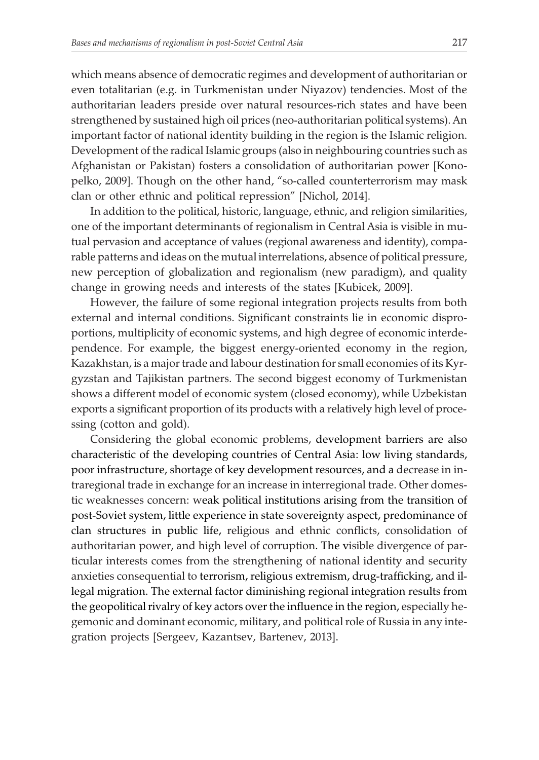which means absence of democratic regimes and development of authoritarian or even totalitarian (e.g. in Turkmenistan under Niyazov) tendencies. Most of the authoritarian leaders preside over natural resources-rich states and have been strengthened by sustained high oil prices (neo-authoritarian political systems). An important factor of national identity building in the region is the Islamic religion. Development of the radical Islamic groups (also in neighbouring countries such as Afghanistan or Pakistan) fosters a consolidation of authoritarian power [Konopelko, 2009]. Though on the other hand, "so-called counterterrorism may mask clan or other ethnic and political repression" [Nichol, 2014].

In addition to the political, historic, language, ethnic, and religion similarities, one of the important determinants of regionalism in Central Asia is visible in mutual pervasion and acceptance of values (regional awareness and identity), comparable patterns and ideas on the mutual interrelations, absence of political pressure, new perception of globalization and regionalism (new paradigm), and quality change in growing needs and interests of the states [Kubicek, 2009].

However, the failure of some regional integration projects results from both external and internal conditions. Significant constraints lie in economic disproportions, multiplicity of economic systems, and high degree of economic interdependence. For example, the biggest energy-oriented economy in the region, Kazakhstan, is a major trade and labour destination for small economies of its Kyrgyzstan and Tajikistan partners. The second biggest economy of Turkmenistan shows a different model of economic system (closed economy), while Uzbekistan exports a significant proportion of its products with a relatively high level of processing (cotton and gold).

Considering the global economic problems, development barriers are also characteristic of the developing countries of Central Asia: low living standards, poor infrastructure, shortage of key development resources, and a decrease in intraregional trade in exchange for an increase in interregional trade. Other domestic weaknesses concern: weak political institutions arising from the transition of post-Soviet system, little experience in state sovereignty aspect, predominance of clan structures in public life, religious and ethnic conflicts, consolidation of authoritarian power, and high level of corruption. The visible divergence of particular interests comes from the strengthening of national identity and security anxieties consequential to terrorism, religious extremism, drug-trafficking, and illegal migration. The external factor diminishing regional integration results from the geopolitical rivalry of key actors over the influence in the region, especially hegemonic and dominant economic, military, and political role of Russia in any integration projects [Sergeev, Kazantsev, Bartenev, 2013].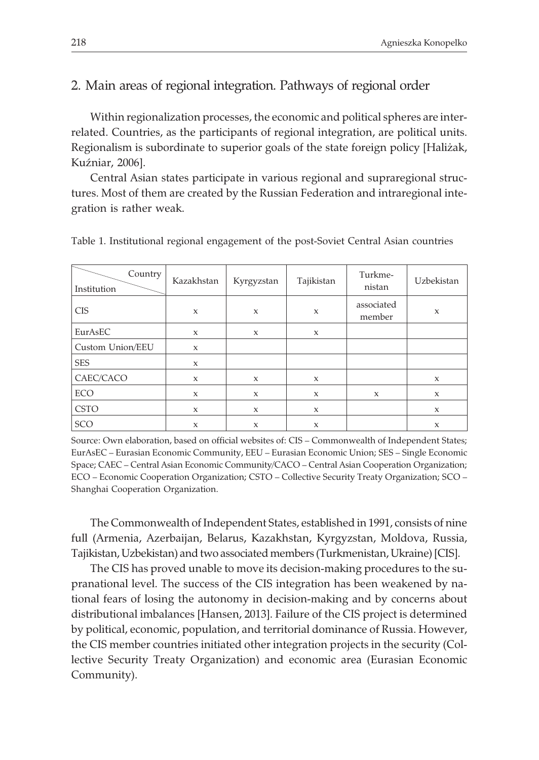#### 2. Main areas of regional integration. Pathways of regional order

Within regionalization processes, the economic and political spheres are interrelated. Countries, as the participants of regional integration, are political units. Regionalism is subordinate to superior goals of the state foreign policy [Hali¿ak, Kuźniar, 2006].

Central Asian states participate in various regional and supraregional structures. Most of them are created by the Russian Federation and intraregional integration is rather weak.

| Country  <br>Institution | Kazakhstan   | Kyrgyzstan   | Tajikistan   | Turkme-<br>nistan    | Uzbekistan  |
|--------------------------|--------------|--------------|--------------|----------------------|-------------|
| <b>CIS</b>               | $\mathbf x$  | $\mathsf{x}$ | $\mathsf X$  | associated<br>member | $\mathbf x$ |
| EurAsEC                  | $\mathsf{x}$ | $\mathsf{x}$ | $\mathsf{x}$ |                      |             |
| Custom Union/EEU         | $\mathsf{x}$ |              |              |                      |             |
| <b>SES</b>               | X            |              |              |                      |             |
| CAEC/CACO                | X            | X            | X            |                      | X           |
| ECO                      | $\mathsf{x}$ | X            | X            | X                    | X           |
| <b>CSTO</b>              | X            | $\mathsf{x}$ | X            |                      | X           |
| SCO                      | X            | X            | X            |                      | X           |

Table 1. Institutional regional engagement of the post-Soviet Central Asian countries

Source: Own elaboration, based on official websites of: CIS – Commonwealth of Independent States; EurAsEC – Eurasian Economic Community, EEU – Eurasian Economic Union; SES – Single Economic Space; CAEC – Central Asian Economic Community/CACO – Central Asian Cooperation Organization; ECO – Economic Cooperation Organization; CSTO – Collective Security Treaty Organization; SCO – Shanghai Cooperation Organization.

The Commonwealth of Independent States, established in 1991, consists of nine full (Armenia, Azerbaijan, Belarus, Kazakhstan, Kyrgyzstan, Moldova, Russia, Tajikistan, Uzbekistan) and two associated members (Turkmenistan, Ukraine) [CIS].

The CIS has proved unable to move its decision-making procedures to the supranational level. The success of the CIS integration has been weakened by national fears of losing the autonomy in decision-making and by concerns about distributional imbalances [Hansen, 2013]. Failure of the CIS project is determined by political, economic, population, and territorial dominance of Russia. However, the CIS member countries initiated other integration projects in the security (Collective Security Treaty Organization) and economic area (Eurasian Economic Community).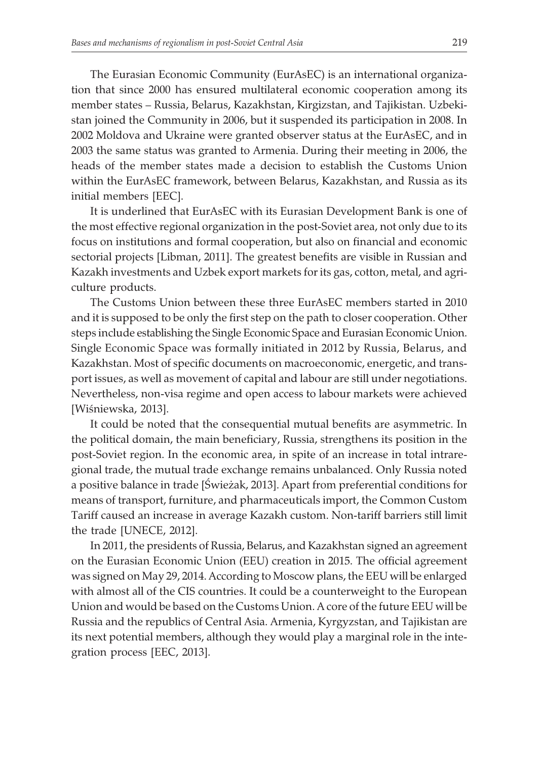The Eurasian Economic Community (EurAsEC) is an international organization that since 2000 has ensured multilateral economic cooperation among its member states – Russia, Belarus, Kazakhstan, Kirgizstan, and Tajikistan. Uzbekistan joined the Community in 2006, but it suspended its participation in 2008. In 2002 Moldova and Ukraine were granted observer status at the EurAsEC, and in 2003 the same status was granted to Armenia. During their meeting in 2006, the heads of the member states made a decision to establish the Customs Union within the EurAsEC framework, between Belarus, Kazakhstan, and Russia as its initial members [EEC].

It is underlined that EurAsEC with its Eurasian Development Bank is one of the most effective regional organization in the post-Soviet area, not only due to its focus on institutions and formal cooperation, but also on financial and economic sectorial projects [Libman, 2011]. The greatest benefits are visible in Russian and Kazakh investments and Uzbek export markets for its gas, cotton, metal, and agriculture products.

The Customs Union between these three EurAsEC members started in 2010 and it is supposed to be only the first step on the path to closer cooperation. Other steps include establishing the Single Economic Space and Eurasian Economic Union. Single Economic Space was formally initiated in 2012 by Russia, Belarus, and Kazakhstan. Most of specific documents on macroeconomic, energetic, and transport issues, as well as movement of capital and labour are still under negotiations. Nevertheless, non-visa regime and open access to labour markets were achieved [Wiśniewska, 2013].

It could be noted that the consequential mutual benefits are asymmetric. In the political domain, the main beneficiary, Russia, strengthens its position in the post-Soviet region. In the economic area, in spite of an increase in total intraregional trade, the mutual trade exchange remains unbalanced. Only Russia noted a positive balance in trade [Świeżak, 2013]. Apart from preferential conditions for means of transport, furniture, and pharmaceuticals import, the Common Custom Tariff caused an increase in average Kazakh custom. Non-tariff barriers still limit the trade [UNECE, 2012].

In 2011, the presidents of Russia, Belarus, and Kazakhstan signed an agreement on the Eurasian Economic Union (EEU) creation in 2015. The official agreement was signed on May 29, 2014. According to Moscow plans, the EEU will be enlarged with almost all of the CIS countries. It could be a counterweight to the European Union and would be based on the Customs Union. A core of the future EEU will be Russia and the republics of Central Asia. Armenia, Kyrgyzstan, and Tajikistan are its next potential members, although they would play a marginal role in the integration process [EEC, 2013].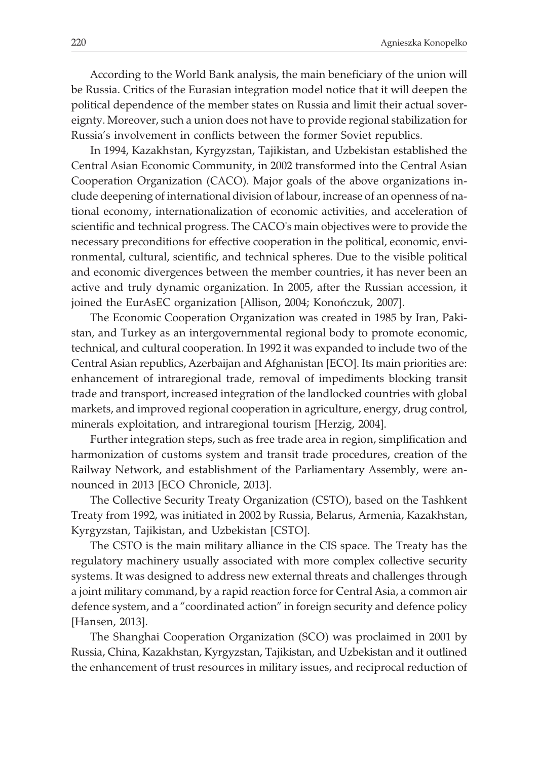According to the World Bank analysis, the main beneficiary of the union will be Russia. Critics of the Eurasian integration model notice that it will deepen the political dependence of the member states on Russia and limit their actual sovereignty. Moreover, such a union does not have to provide regional stabilization for Russia's involvement in conflicts between the former Soviet republics.

In 1994, Kazakhstan, Kyrgyzstan, Tajikistan, and Uzbekistan established the Central Asian Economic Community, in 2002 transformed into the Central Asian Cooperation Organization (CACO). Major goals of the above organizations include deepening of international division of labour, increase of an openness of national economy, internationalization of economic activities, and acceleration of scientific and technical progress. The CACO's main objectives were to provide the necessary preconditions for effective cooperation in the political, economic, environmental, cultural, scientific, and technical spheres. Due to the visible political and economic divergences between the member countries, it has never been an active and truly dynamic organization. In 2005, after the Russian accession, it joined the EurAsEC organization [Allison, 2004; Konoñczuk, 2007].

The Economic Cooperation Organization was created in 1985 by Iran, Pakistan, and Turkey as an intergovernmental regional body to promote economic, technical, and cultural cooperation. In 1992 it was expanded to include two of the Central Asian republics, Azerbaijan and Afghanistan [ECO]. Its main priorities are: enhancement of intraregional trade, removal of impediments blocking transit trade and transport, increased integration of the landlocked countries with global markets, and improved regional cooperation in agriculture, energy, drug control, minerals exploitation, and intraregional tourism [Herzig, 2004].

Further integration steps, such as free trade area in region, simplification and harmonization of customs system and transit trade procedures, creation of the Railway Network, and establishment of the Parliamentary Assembly, were announced in 2013 [ECO Chronicle, 2013].

The Collective Security Treaty Organization (CSTO), based on the Tashkent Treaty from 1992, was initiated in 2002 by Russia, Belarus, Armenia, Kazakhstan, Kyrgyzstan, Tajikistan, and Uzbekistan [CSTO].

The CSTO is the main military alliance in the CIS space. The Treaty has the regulatory machinery usually associated with more complex collective security systems. It was designed to address new external threats and challenges through a joint military command, by a rapid reaction force for Central Asia, a common air defence system, and a "coordinated action" in foreign security and defence policy [Hansen, 2013].

The Shanghai Cooperation Organization (SCO) was proclaimed in 2001 by Russia, China, Kazakhstan, Kyrgyzstan, Tajikistan, and Uzbekistan and it outlined the enhancement of trust resources in military issues, and reciprocal reduction of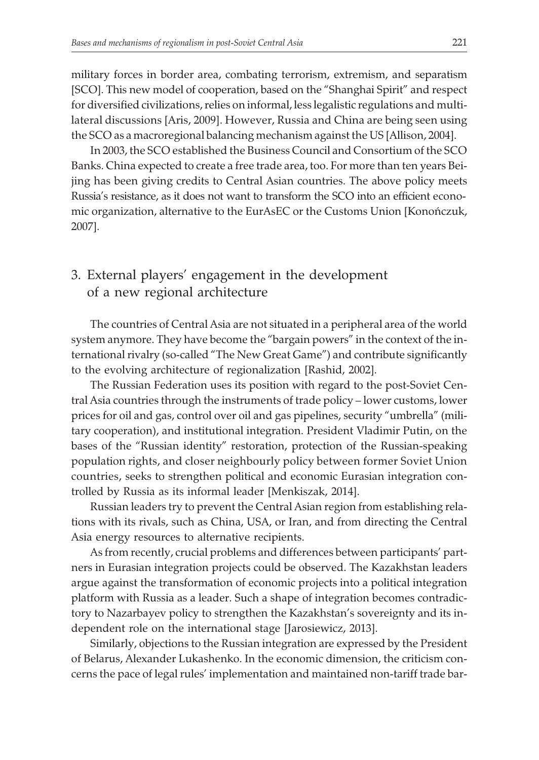military forces in border area, combating terrorism, extremism, and separatism [SCO]. This new model of cooperation, based on the "Shanghai Spirit" and respect for diversified civilizations, relies on informal, less legalistic regulations and multilateral discussions [Aris, 2009]. However, Russia and China are being seen using the SCO as a macroregional balancing mechanism against the US [Allison, 2004].

In 2003, the SCO established the Business Council and Consortium of the SCO Banks. China expected to create a free trade area, too. For more than ten years Beijing has been giving credits to Central Asian countries. The above policy meets Russia's resistance, as it does not want to transform the SCO into an efficient economic organization, alternative to the EurAsEC or the Customs Union [Konoñczuk, 2007].

## 3. External players' engagement in the development of a new regional architecture

The countries of Central Asia are not situated in a peripheral area of the world system anymore. They have become the "bargain powers" in the context of the international rivalry (so-called "The New Great Game") and contribute significantly to the evolving architecture of regionalization [Rashid, 2002].

The Russian Federation uses its position with regard to the post-Soviet Central Asia countries through the instruments of trade policy – lower customs, lower prices for oil and gas, control over oil and gas pipelines, security "umbrella" (military cooperation), and institutional integration. President Vladimir Putin, on the bases of the "Russian identity" restoration, protection of the Russian-speaking population rights, and closer neighbourly policy between former Soviet Union countries, seeks to strengthen political and economic Eurasian integration controlled by Russia as its informal leader [Menkiszak, 2014].

Russian leaders try to prevent the Central Asian region from establishing relations with its rivals, such as China, USA, or Iran, and from directing the Central Asia energy resources to alternative recipients.

As from recently, crucial problems and differences between participants' partners in Eurasian integration projects could be observed. The Kazakhstan leaders argue against the transformation of economic projects into a political integration platform with Russia as a leader. Such a shape of integration becomes contradictory to Nazarbayev policy to strengthen the Kazakhstan's sovereignty and its independent role on the international stage [Jarosiewicz, 2013].

Similarly, objections to the Russian integration are expressed by the President of Belarus, Alexander Lukashenko. In the economic dimension, the criticism concerns the pace of legal rules' implementation and maintained non-tariff trade bar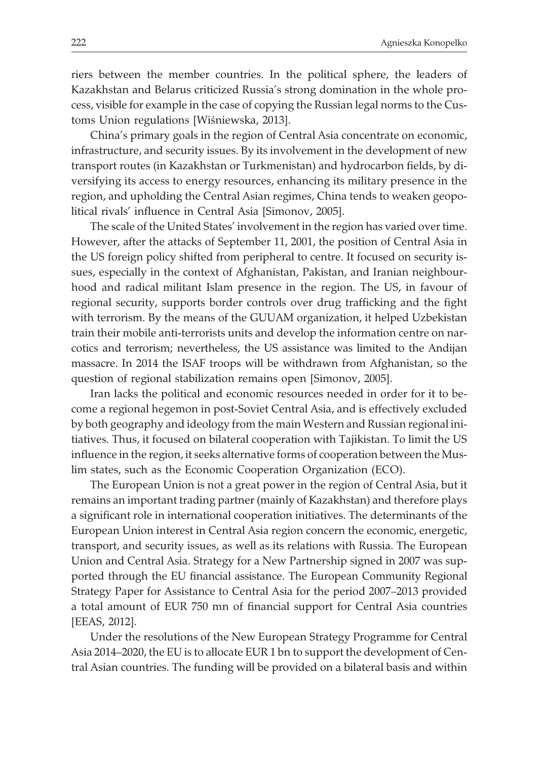riers between the member countries. In the political sphere, the leaders of Kazakhstan and Belarus criticized Russia's strong domination in the whole process, visible for example in the case of copying the Russian legal norms to the Customs Union regulations [Wiśniewska, 2013].

China's primary goals in the region of Central Asia concentrate on economic, infrastructure, and security issues. By its involvement in the development of new transport routes (in Kazakhstan or Turkmenistan) and hydrocarbon fields, by diversifying its access to energy resources, enhancing its military presence in the region, and upholding the Central Asian regimes, China tends to weaken geopolitical rivals' influence in Central Asia [Simonov, 2005].

The scale of the United States' involvement in the region has varied over time. However, after the attacks of September 11, 2001, the position of Central Asia in the US foreign policy shifted from peripheral to centre. It focused on security issues, especially in the context of Afghanistan, Pakistan, and Iranian neighbourhood and radical militant Islam presence in the region. The US, in favour of regional security, supports border controls over drug trafficking and the fight with terrorism. By the means of the GUUAM organization, it helped Uzbekistan train their mobile anti-terrorists units and develop the information centre on narcotics and terrorism; nevertheless, the US assistance was limited to the Andijan massacre. In 2014 the ISAF troops will be withdrawn from Afghanistan, so the question of regional stabilization remains open [Simonov, 2005].

Iran lacks the political and economic resources needed in order for it to become a regional hegemon in post-Soviet Central Asia, and is effectively excluded by both geography and ideology from the main Western and Russian regional initiatives. Thus, it focused on bilateral cooperation with Tajikistan. To limit the US influence in the region, it seeks alternative forms of cooperation between the Muslim states, such as the Economic Cooperation Organization (ECO).

The European Union is not a great power in the region of Central Asia, but it remains an important trading partner (mainly of Kazakhstan) and therefore plays a significant role in international cooperation initiatives. The determinants of the European Union interest in Central Asia region concern the economic, energetic, transport, and security issues, as well as its relations with Russia. The European Union and Central Asia. Strategy for a New Partnership signed in 2007 was supported through the EU financial assistance. The European Community Regional Strategy Paper for Assistance to Central Asia for the period 2007–2013 provided a total amount of EUR 750 mn of financial support for Central Asia countries [EEAS, 2012].

Under the resolutions of the New European Strategy Programme for Central Asia 2014–2020, the EU is to allocate EUR 1 bn to support the development of Central Asian countries. The funding will be provided on a bilateral basis and within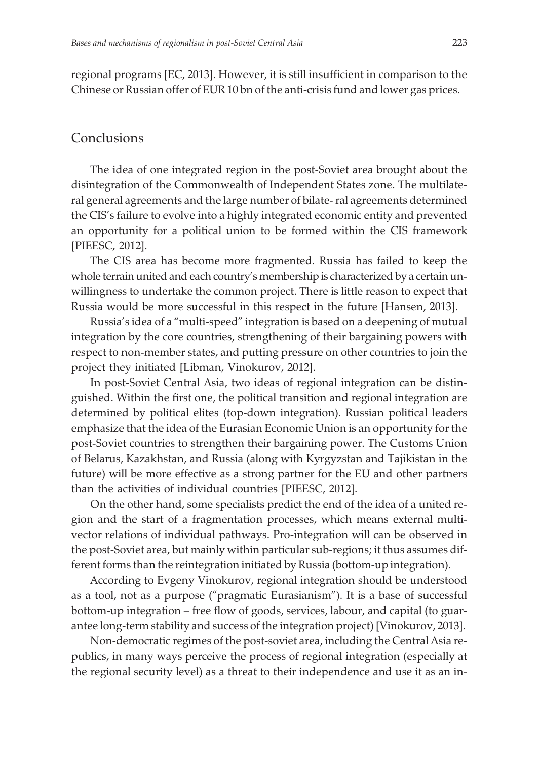regional programs [EC, 2013]. However, it is still insufficient in comparison to the Chinese or Russian offer of EUR 10 bn of the anti-crisis fund and lower gas prices.

#### Conclusions

The idea of one integrated region in the post-Soviet area brought about the disintegration of the Commonwealth of Independent States zone. The multilateral general agreements and the large number of bilate- ral agreements determined the CIS's failure to evolve into a highly integrated economic entity and prevented an opportunity for a political union to be formed within the CIS framework [PIEESC, 2012].

The CIS area has become more fragmented. Russia has failed to keep the whole terrain united and each country's membership is characterized by a certain unwillingness to undertake the common project. There is little reason to expect that Russia would be more successful in this respect in the future [Hansen, 2013].

Russia's idea of a "multi-speed" integration is based on a deepening of mutual integration by the core countries, strengthening of their bargaining powers with respect to non-member states, and putting pressure on other countries to join the project they initiated [Libman, Vinokurov, 2012].

In post-Soviet Central Asia, two ideas of regional integration can be distinguished. Within the first one, the political transition and regional integration are determined by political elites (top-down integration). Russian political leaders emphasize that the idea of the Eurasian Economic Union is an opportunity for the post-Soviet countries to strengthen their bargaining power. The Customs Union of Belarus, Kazakhstan, and Russia (along with Kyrgyzstan and Tajikistan in the future) will be more effective as a strong partner for the EU and other partners than the activities of individual countries [PIEESC, 2012].

On the other hand, some specialists predict the end of the idea of a united region and the start of a fragmentation processes, which means external multivector relations of individual pathways. Pro-integration will can be observed in the post-Soviet area, but mainly within particular sub-regions; it thus assumes different forms than the reintegration initiated by Russia (bottom-up integration).

According to Evgeny Vinokurov, regional integration should be understood as a tool, not as a purpose ("pragmatic Eurasianism"). It is a base of successful bottom-up integration – free flow of goods, services, labour, and capital (to guarantee long-term stability and success of the integration project) [Vinokurov, 2013].

Non-democratic regimes of the post-soviet area, including the Central Asia republics, in many ways perceive the process of regional integration (especially at the regional security level) as a threat to their independence and use it as an in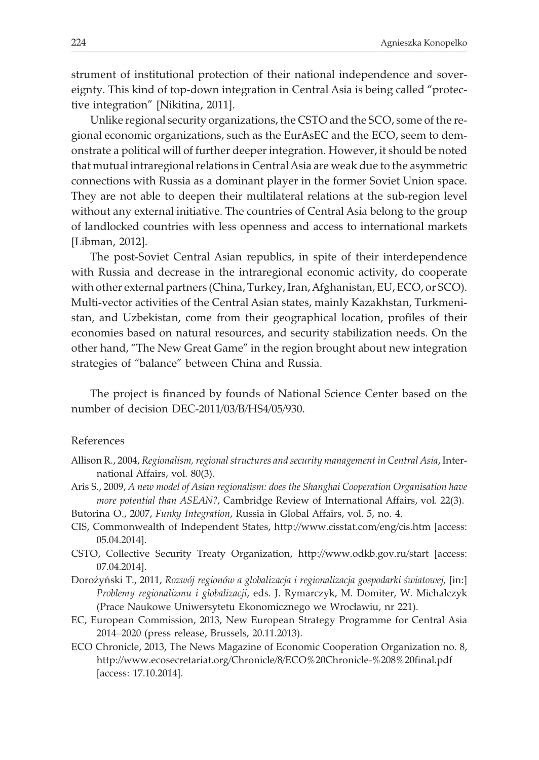strument of institutional protection of their national independence and sovereignty. This kind of top-down integration in Central Asia is being called "protective integration" [Nikitina, 2011].

Unlike regional security organizations, the CSTO and the SCO, some of the regional economic organizations, such as the EurAsEC and the ECO, seem to demonstrate a political will of further deeper integration. However, it should be noted that mutual intraregional relations in Central Asia are weak due to the asymmetric connections with Russia as a dominant player in the former Soviet Union space. They are not able to deepen their multilateral relations at the sub-region level without any external initiative. The countries of Central Asia belong to the group of landlocked countries with less openness and access to international markets [Libman, 2012].

The post-Soviet Central Asian republics, in spite of their interdependence with Russia and decrease in the intraregional economic activity, do cooperate with other external partners (China, Turkey, Iran, Afghanistan, EU, ECO, or SCO). Multi-vector activities of the Central Asian states, mainly Kazakhstan, Turkmenistan, and Uzbekistan, come from their geographical location, profiles of their economies based on natural resources, and security stabilization needs. On the other hand, "The New Great Game" in the region brought about new integration strategies of "balance" between China and Russia.

The project is financed by founds of National Science Center based on the number of decision DEC-2011/03/B/HS4/05/930.

#### References

- Allison R., 2004, *Regionalism, regional structures and security management in Central Asia*, International Affairs, vol. 80(3).
- Aris S., 2009, *A new model of Asian regionalism: does the Shanghai Cooperation Organisation have more potential than ASEAN?*, Cambridge Review of International Affairs, vol. 22(3).
- Butorina O., 2007, *Funky Integration*, Russia in Global Affairs, vol. 5, no. 4.
- CIS, Commonwealth of Independent States, http://www.cisstat.com/eng/cis.htm [access: 05.04.2014].
- CSTO, Collective Security Treaty Organization, http://www.odkb.gov.ru/start [access: 07.04.2014].
- Dorożyński T., 2011, *Rozwój regionów a globalizacja i regionalizacja gospodarki światowej*, [in:] *Problemy regionalizmu i globalizacji*, eds. J. Rymarczyk, M. Domiter, W. Michalczyk (Prace Naukowe Uniwersytetu Ekonomicznego we Wrocławiu, nr 221).
- EC, European Commission, 2013, New European Strategy Programme for Central Asia 2014–2020 (press release, Brussels, 20.11.2013).
- ECO Chronicle, 2013, The News Magazine of Economic Cooperation Organization no. 8, http://www.ecosecretariat.org/Chronicle/8/ECO%20Chronicle-%208%20final.pdf [access: 17.10.2014].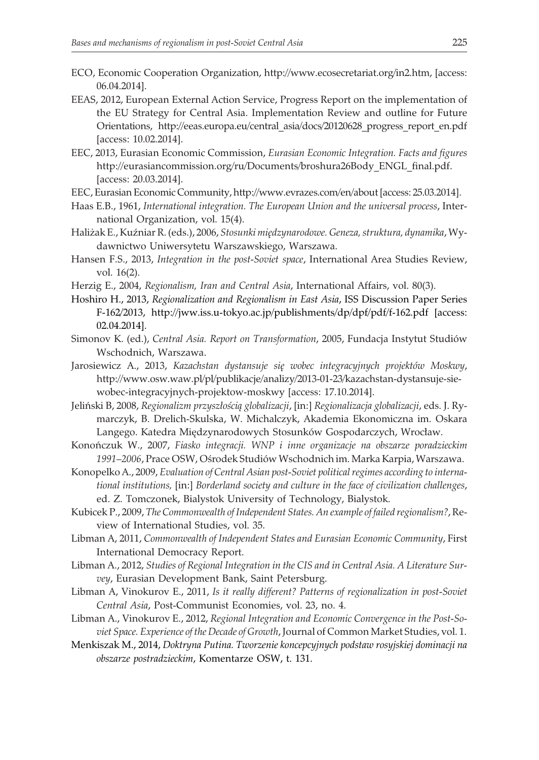- ECO, Economic Cooperation Organization, http://www.ecosecretariat.org/in2.htm, [access: 06.04.2014].
- EEAS, 2012, European External Action Service, Progress Report on the implementation of the EU Strategy for Central Asia. Implementation Review and outline for Future Orientations, http://eeas.europa.eu/central\_asia/docs/20120628\_progress\_report\_en.pdf [access: 10.02.2014].
- EEC, 2013, Eurasian Economic Commission, *Eurasian Economic Integration. Facts and figures* http://eurasiancommission.org/ru/Documents/broshura26Body\_ENGL\_final.pdf. [access: 20.03.2014].
- EEC, Eurasian Economic Community, http://www.evrazes.com/en/about [access: 25.03.2014].
- Haas E.B., 1961, *International integration. The European Union and the universal process*, International Organization, vol. 15(4).
- Haliżak E., Kuźniar R. (eds.), 2006, *Stosunki międzynarodowe. Geneza, struktura, dynamika*, Wydawnictwo Uniwersytetu Warszawskiego, Warszawa.
- Hansen F.S., 2013, *Integration in the post-Soviet space*, International Area Studies Review, vol. 16(2).
- Herzig E., 2004, *Regionalism, Iran and Central Asia*, International Affairs, vol. 80(3).
- Hoshiro H., 2013, *Regionalization and Regionalism in East Asia*, ISS Discussion Paper Series F-162/2013, http://jww.iss.u-tokyo.ac.jp/publishments/dp/dpf/pdf/f-162.pdf [access: 02.04.2014].
- Simonov K. (ed.), *Central Asia. Report on Transformation*, 2005, Fundacja Instytut Studiów Wschodnich, Warszawa.
- Jarosiewicz A., 2013, *Kazachstan dystansuje siê wobec integracyjnych projektów Moskwy*, http://www.osw.waw.pl/pl/publikacje/analizy/2013-01-23/kazachstan-dystansuje-siewobec-integracyjnych-projektow-moskwy [access: 17.10.2014].
- Jeliński B, 2008, *Regionalizm przyszłością globalizacji*, [in:] *Regionalizacja globalizacji*, eds. J. Rymarczyk, B. Drelich-Skulska, W. Michalczyk, Akademia Ekonomiczna im. Oskara Langego. Katedra Międzynarodowych Stosunków Gospodarczych, Wrocław.
- Konoñczuk W., 2007, *Fiasko integracji. WNP i inne organizacje na obszarze poradzieckim 1991–2006*, Prace OSW, Oœrodek Studiów Wschodnich im. Marka Karpia, Warszawa.
- Konopelko A., 2009, *Evaluation of Central Asian post-Soviet political regimes according to international institutions,* [in:] *Borderland society and culture in the face of civilization challenges*, ed. Z. Tomczonek, Bialystok University of Technology, Bialystok.
- Kubicek P., 2009, *The Commonwealth of Independent States. An example of failed regionalism?*, Review of International Studies, vol. 35.
- Libman A, 2011, *Commonwealth of Independent States and Eurasian Economic Community*, First International Democracy Report.
- Libman A., 2012, *Studies of Regional Integration in the CIS and in Central Asia. A Literature Survey*, Eurasian Development Bank, Saint Petersburg.
- Libman A, Vinokurov E., 2011, *Is it really different? Patterns of regionalization in post-Soviet Central Asia*, Post-Communist Economies, vol. 23, no. 4.
- Libman A., Vinokurov E., 2012, *Regional Integration and Economic Convergence in the Post-Soviet Space. Experience of the Decade of Growth*, Journal of Common Market Studies, vol. 1.
- Menkiszak M., 2014, *Doktryna Putina. Tworzenie koncepcyjnych podstaw rosyjskiej dominacji na obszarze postradzieckim*, Komentarze OSW, t. 131.